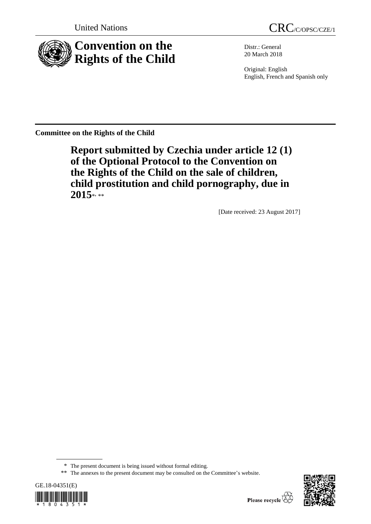



Distr.: General 20 March 2018

Original: English English, French and Spanish only

**Committee on the Rights of the Child**

**Report submitted by Czechia under article 12 (1) of the Optional Protocol to the Convention on the Rights of the Child on the sale of children, child prostitution and child pornography, due in**  2015\*<sub>\*\*</sub>

[Date received: 23 August 2017]

<sup>\*\*</sup> The annexes to the present document may be consulted on the Committee's website.





<sup>\*</sup> The present document is being issued without formal editing.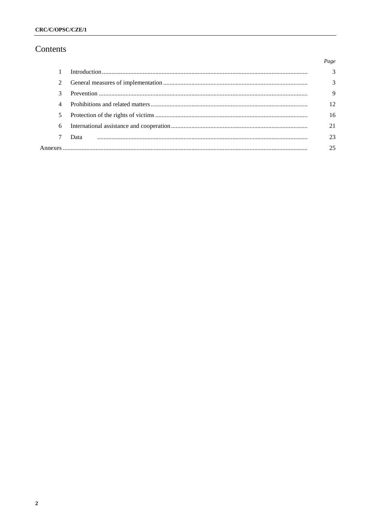# Contents

|               |      | Page          |
|---------------|------|---------------|
|               |      | $\mathcal{R}$ |
| $\mathcal{L}$ |      | $\mathcal{R}$ |
| 3             |      | 9             |
| 4             |      | 12.           |
| 5             |      | 16            |
| 6             |      | 21            |
|               | Data | 23            |
|               |      | 25            |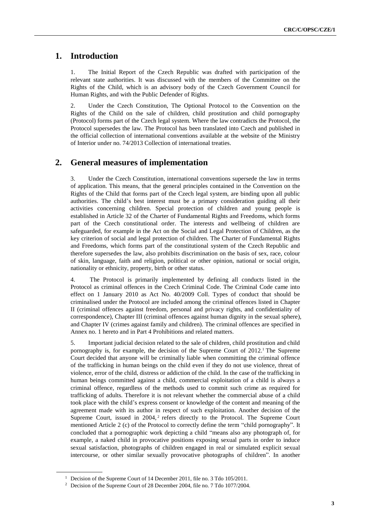# **1. Introduction**

1. The Initial Report of the Czech Republic was drafted with participation of the relevant state authorities. It was discussed with the members of the Committee on the Rights of the Child, which is an advisory body of the Czech Government Council for Human Rights, and with the Public Defender of Rights.

2. Under the Czech Constitution, The Optional Protocol to the Convention on the Rights of the Child on the sale of children, child prostitution and child pornography (Protocol) forms part of the Czech legal system. Where the law contradicts the Protocol, the Protocol supersedes the law. The Protocol has been translated into Czech and published in the official collection of international conventions available at the website of the Ministry of Interior under no. 74/2013 Collection of international treaties.

## **2. General measures of implementation**

3. Under the Czech Constitution, international conventions supersede the law in terms of application. This means, that the general principles contained in the Convention on the Rights of the Child that forms part of the Czech legal system, are binding upon all public authorities. The child's best interest must be a primary consideration guiding all their activities concerning children. Special protection of children and young people is established in Article 32 of the Charter of Fundamental Rights and Freedoms, which forms part of the Czech constitutional order. The interests and wellbeing of children are safeguarded, for example in the Act on the Social and Legal Protection of Children, as the key criterion of social and legal protection of children. The Charter of Fundamental Rights and Freedoms, which forms part of the constitutional system of the Czech Republic and therefore supersedes the law, also prohibits discrimination on the basis of sex, race, colour of skin, language, faith and religion, political or other opinion, national or social origin, nationality or ethnicity, property, birth or other status.

4. The Protocol is primarily implemented by defining all conducts listed in the Protocol as criminal offences in the Czech Criminal Code. The Criminal Code came into effect on 1 January 2010 as Act No. 40/2009 Coll. Types of conduct that should be criminalised under the Protocol are included among the criminal offences listed in Chapter II (criminal offences against freedom, personal and privacy rights, and confidentiality of correspondence), Chapter III (criminal offences against human dignity in the sexual sphere), and Chapter IV (crimes against family and children). The criminal offences are specified in Annex no. 1 hereto and in Part 4 Prohibitions and related matters.

5. Important judicial decision related to the sale of children, child prostitution and child pornography is, for example, the decision of the Supreme Court of 2012.<sup>1</sup> The Supreme Court decided that anyone will be criminally liable when committing the criminal offence of the trafficking in human beings on the child even if they do not use violence, threat of violence, error of the child, distress or addiction of the child. In the case of the trafficking in human beings committed against a child, commercial exploitation of a child is always a criminal offence, regardless of the methods used to commit such crime as required for trafficking of adults. Therefore it is not relevant whether the commercial abuse of a child took place with the child's express consent or knowledge of the content and meaning of the agreement made with its author in respect of such exploitation. Another decision of the Supreme Court, issued in  $2004$ ,<sup>2</sup> refers directly to the Protocol. The Supreme Court mentioned Article 2 (c) of the Protocol to correctly define the term "child pornography". It concluded that a pornographic work depicting a child "means also any photograph of, for example, a naked child in provocative positions exposing sexual parts in order to induce sexual satisfaction, photographs of children engaged in real or simulated explicit sexual intercourse, or other similar sexually provocative photographs of children". In another

<sup>&</sup>lt;sup>1</sup> Decision of the Supreme Court of 14 December 2011, file no. 3 Tdo 105/2011.

<sup>2</sup> Decision of the Supreme Court of 28 December 2004, file no. 7 Tdo 1077/2004.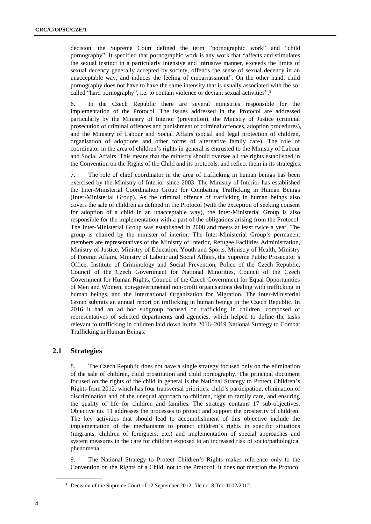decision, the Supreme Court defined the term "pornographic work" and "child pornography". It specified that pornographic work is any work that "affects and stimulates the sexual instinct in a particularly intensive and intrusive manner, exceeds the limits of sexual decency generally accepted by society, offends the sense of sexual decency in an unacceptable way, and induces the feeling of embarrassment". On the other hand, child pornography does not have to have the same intensity that is usually associated with the socalled "hard pornography", i.e. to contain violence or deviant sexual activities".<sup>3</sup>

6. In the Czech Republic there are several ministries responsible for the implementation of the Protocol. The issues addressed in the Protocol are addressed particularly by the Ministry of Interior (prevention), the Ministry of Justice (criminal prosecution of criminal offences and punishment of criminal offences, adoption procedures), and the Ministry of Labour and Social Affairs (social and legal protection of children, organisation of adoptions and other forms of alternative family care). The role of coordinator in the area of children's rights in general is entrusted to the Ministry of Labour and Social Affairs. This means that the ministry should oversee all the rights established in the Convention on the Rights of the Child and its protocols, and reflect them in its strategies.

7. The role of chief coordinator in the area of trafficking in human beings has been exercised by the Ministry of Interior since 2003. The Ministry of Interior has established the Inter-Ministerial Coordination Group for Combating Trafficking in Human Beings (Inter-Ministerial Group). As the criminal offence of trafficking in human beings also covers the sale of children as defined in the Protocol (with the exception of seeking consent for adoption of a child in an unacceptable way), the Inter-Ministerial Group is also responsible for the implementation with a part of the obligations arising from the Protocol. The Inter-Ministerial Group was established in 2008 and meets at least twice a year. The group is chaired by the minister of interior. The Inter-Ministerial Group's permanent members are representatives of the Ministry of Interior, Refugee Facilities Administration, Ministry of Justice, Ministry of Education, Youth and Sports, Ministry of Health, Ministry of Foreign Affairs, Ministry of Labour and Social Affairs, the Supreme Public Prosecutor's Office, Institute of Criminology and Social Prevention, Police of the Czech Republic, Council of the Czech Government for National Minorities, Council of the Czech Government for Human Rights, Council of the Czech Government for Equal Opportunities of Men and Women, non-governmental non-profit organisations dealing with trafficking in human beings, and the International Organization for Migration. The Inter-Ministerial Group submits an annual report on trafficking in human beings in the Czech Republic. In 2016 it had an ad hoc subgroup focused on trafficking in children, composed of representatives of selected departments and agencies, which helped to define the tasks relevant to trafficking in children laid down in the 2016–2019 National Strategy to Combat Trafficking in Human Beings.

### **2.1 Strategies**

8. The Czech Republic does not have a single strategy focused only on the elimination of the sale of children, child prostitution and child pornography. The principal document focused on the rights of the child in general is the National Strategy to Protect Children's Rights from 2012, which has four transversal priorities: child's participation, elimination of discrimination and of the unequal approach to children, right to family care, and ensuring the quality of life for children and families. The strategy contains 17 sub-objectives. Objective no. 11 addresses the processes to protect and support the prosperity of children. The key activities that should lead to accomplishment of this objective include the implementation of the mechanisms to protect children's rights in specific situations (migrants, children of foreigners, etc.) and implementation of special approaches and system measures in the care for children exposed to an increased risk of socio/pathological phenomena.

9. The National Strategy to Protect Children's Rights makes reference only to the Convention on the Rights of a Child, not to the Protocol. It does not mention the Protocol

<sup>&</sup>lt;sup>3</sup> Decision of the Supreme Court of 12 September 2012, file no. 8 Tdo 1002/2012.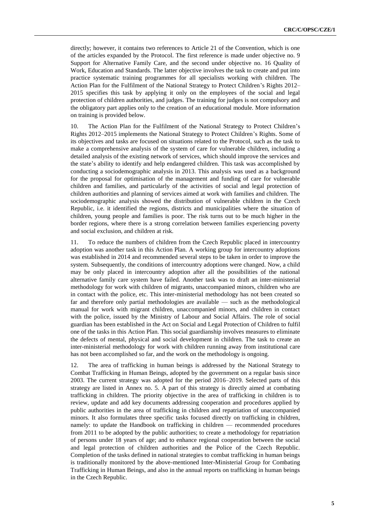directly; however, it contains two references to Article 21 of the Convention, which is one of the articles expanded by the Protocol. The first reference is made under objective no. 9 Support for Alternative Family Care, and the second under objective no. 16 Quality of Work, Education and Standards. The latter objective involves the task to create and put into practice systematic training programmes for all specialists working with children. The Action Plan for the Fulfilment of the National Strategy to Protect Children's Rights 2012– 2015 specifies this task by applying it only on the employees of the social and legal protection of children authorities, and judges. The training for judges is not compulsory and the obligatory part applies only to the creation of an educational module. More information on training is provided below.

10. The Action Plan for the Fulfilment of the National Strategy to Protect Children's Rights 2012–2015 implements the National Strategy to Protect Children's Rights. Some of its objectives and tasks are focused on situations related to the Protocol, such as the task to make a comprehensive analysis of the system of care for vulnerable children, including a detailed analysis of the existing network of services, which should improve the services and the state's ability to identify and help endangered children. This task was accomplished by conducting a sociodemographic analysis in 2013. This analysis was used as a background for the proposal for optimisation of the management and funding of care for vulnerable children and families, and particularly of the activities of social and legal protection of children authorities and planning of services aimed at work with families and children. The sociodemographic analysis showed the distribution of vulnerable children in the Czech Republic, i.e. it identified the regions, districts and municipalities where the situation of children, young people and families is poor. The risk turns out to be much higher in the border regions, where there is a strong correlation between families experiencing poverty and social exclusion, and children at risk.

11. To reduce the numbers of children from the Czech Republic placed in intercountry adoption was another task in this Action Plan. A working group for intercountry adoptions was established in 2014 and recommended several steps to be taken in order to improve the system. Subsequently, the conditions of intercountry adoptions were changed. Now, a child may be only placed in intercountry adoption after all the possibilities of the national alternative family care system have failed. Another task was to draft an inter-ministerial methodology for work with children of migrants, unaccompanied minors, children who are in contact with the police, etc. This inter-ministerial methodology has not been created so far and therefore only partial methodologies are available — such as the methodological manual for work with migrant children, unaccompanied minors, and children in contact with the police, issued by the Ministry of Labour and Social Affairs. The role of social guardian has been established in the Act on Social and Legal Protection of Children to fulfil one of the tasks in this Action Plan. This social guardianship involves measures to eliminate the defects of mental, physical and social development in children. The task to create an inter-ministerial methodology for work with children running away from institutional care has not been accomplished so far, and the work on the methodology is ongoing.

12. The area of trafficking in human beings is addressed by the National Strategy to Combat Trafficking in Human Beings, adopted by the government on a regular basis since 2003. The current strategy was adopted for the period 2016–2019. Selected parts of this strategy are listed in Annex no. 5. A part of this strategy is directly aimed at combating trafficking in children. The priority objective in the area of trafficking in children is to review, update and add key documents addressing cooperation and procedures applied by public authorities in the area of trafficking in children and repatriation of unaccompanied minors. It also formulates three specific tasks focused directly on trafficking in children, namely: to update the Handbook on trafficking in children — recommended procedures from 2011 to be adopted by the public authorities; to create a methodology for repatriation of persons under 18 years of age; and to enhance regional cooperation between the social and legal protection of children authorities and the Police of the Czech Republic. Completion of the tasks defined in national strategies to combat trafficking in human beings is traditionally monitored by the above-mentioned Inter-Ministerial Group for Combating Trafficking in Human Beings, and also in the annual reports on trafficking in human beings in the Czech Republic.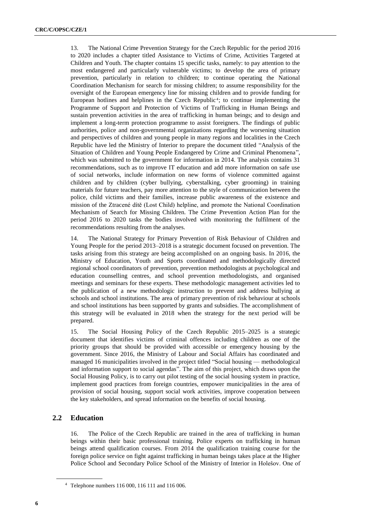13. The National Crime Prevention Strategy for the Czech Republic for the period 2016 to 2020 includes a chapter titled Assistance to Victims of Crime, Activities Targeted at Children and Youth. The chapter contains 15 specific tasks, namely: to pay attention to the most endangered and particularly vulnerable victims; to develop the area of primary prevention, particularly in relation to children; to continue operating the National Coordination Mechanism for search for missing children; to assume responsibility for the oversight of the European emergency line for missing children and to provide funding for European hotlines and helplines in the Czech Republic<sup>4</sup>; to continue implementing the Programme of Support and Protection of Victims of Trafficking in Human Beings and sustain prevention activities in the area of trafficking in human beings; and to design and implement a long-term protection programme to assist foreigners. The findings of public authorities, police and non-governmental organizations regarding the worsening situation and perspectives of children and young people in many regions and localities in the Czech Republic have led the Ministry of Interior to prepare the document titled "Analysis of the Situation of Children and Young People Endangered by Crime and Criminal Phenomena", which was submitted to the government for information in 2014. The analysis contains 31 recommendations, such as to improve IT education and add more information on safe use of social networks, include information on new forms of violence committed against children and by children (cyber bullying, cyberstalking, cyber grooming) in training materials for future teachers, pay more attention to the style of communication between the police, child victims and their families, increase public awareness of the existence and mission of the Ztracené dítě (Lost Child) helpline, and promote the National Coordination Mechanism of Search for Missing Children. The Crime Prevention Action Plan for the period 2016 to 2020 tasks the bodies involved with monitoring the fulfilment of the recommendations resulting from the analyses.

14. The National Strategy for Primary Prevention of Risk Behaviour of Children and Young People for the period 2013–2018 is a strategic document focused on prevention. The tasks arising from this strategy are being accomplished on an ongoing basis. In 2016, the Ministry of Education, Youth and Sports coordinated and methodologically directed regional school coordinators of prevention, prevention methodologists at psychological and education counselling centres, and school prevention methodologists, and organised meetings and seminars for these experts. These methodologic management activities led to the publication of a new methodologic instruction to prevent and address bullying at schools and school institutions. The area of primary prevention of risk behaviour at schools and school institutions has been supported by grants and subsidies. The accomplishment of this strategy will be evaluated in 2018 when the strategy for the next period will be prepared.

15. The Social Housing Policy of the Czech Republic 2015–2025 is a strategic document that identifies victims of criminal offences including children as one of the priority groups that should be provided with accessible or emergency housing by the government. Since 2016, the Ministry of Labour and Social Affairs has coordinated and managed 16 municipalities involved in the project titled "Social housing — methodological and information support to social agendas". The aim of this project, which draws upon the Social Housing Policy, is to carry out pilot testing of the social housing system in practice, implement good practices from foreign countries, empower municipalities in the area of provision of social housing, support social work activities, improve cooperation between the key stakeholders, and spread information on the benefits of social housing.

### **2.2 Education**

16. The Police of the Czech Republic are trained in the area of trafficking in human beings within their basic professional training. Police experts on trafficking in human beings attend qualification courses. From 2014 the qualification training course for the foreign police service on fight against trafficking in human beings takes place at the Higher Police School and Secondary Police School of the Ministry of Interior in Holešov. One of

<sup>4</sup> Telephone numbers 116 000, 116 111 and 116 006.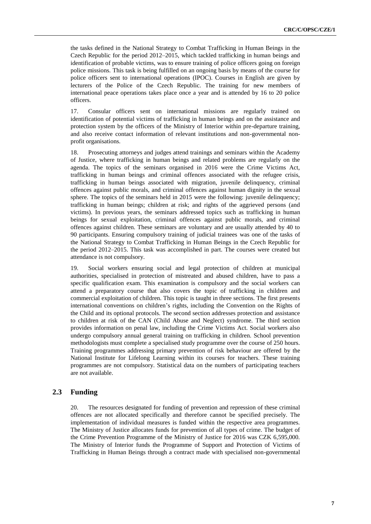the tasks defined in the National Strategy to Combat Trafficking in Human Beings in the Czech Republic for the period 2012–2015, which tackled trafficking in human beings and identification of probable victims, was to ensure training of police officers going on foreign police missions. This task is being fulfilled on an ongoing basis by means of the course for police officers sent to international operations (IPOC). Courses in English are given by lecturers of the Police of the Czech Republic. The training for new members of international peace operations takes place once a year and is attended by 16 to 20 police officers.

17. Consular officers sent on international missions are regularly trained on identification of potential victims of trafficking in human beings and on the assistance and protection system by the officers of the Ministry of Interior within pre-departure training, and also receive contact information of relevant institutions and non-governmental nonprofit organisations.

18. Prosecuting attorneys and judges attend trainings and seminars within the Academy of Justice, where trafficking in human beings and related problems are regularly on the agenda. The topics of the seminars organised in 2016 were the Crime Victims Act, trafficking in human beings and criminal offences associated with the refugee crisis, trafficking in human beings associated with migration, juvenile delinquency, criminal offences against public morals, and criminal offences against human dignity in the sexual sphere. The topics of the seminars held in 2015 were the following: juvenile delinquency; trafficking in human beings; children at risk; and rights of the aggrieved persons (and victims). In previous years, the seminars addressed topics such as trafficking in human beings for sexual exploitation, criminal offences against public morals, and criminal offences against children. These seminars are voluntary and are usually attended by 40 to 90 participants. Ensuring compulsory training of judicial trainees was one of the tasks of the National Strategy to Combat Trafficking in Human Beings in the Czech Republic for the period 2012–2015. This task was accomplished in part. The courses were created but attendance is not compulsory.

19. Social workers ensuring social and legal protection of children at municipal authorities, specialised in protection of mistreated and abused children, have to pass a specific qualification exam. This examination is compulsory and the social workers can attend a preparatory course that also covers the topic of trafficking in children and commercial exploitation of children. This topic is taught in three sections. The first presents international conventions on children's rights, including the Convention on the Rights of the Child and its optional protocols. The second section addresses protection and assistance to children at risk of the CAN (Child Abuse and Neglect) syndrome. The third section provides information on penal law, including the Crime Victims Act. Social workers also undergo compulsory annual general training on trafficking in children. School prevention methodologists must complete a specialised study programme over the course of 250 hours. Training programmes addressing primary prevention of risk behaviour are offered by the National Institute for Lifelong Learning within its courses for teachers. These training programmes are not compulsory. Statistical data on the numbers of participating teachers are not available.

#### **2.3 Funding**

20. The resources designated for funding of prevention and repression of these criminal offences are not allocated specifically and therefore cannot be specified precisely. The implementation of individual measures is funded within the respective area programmes. The Ministry of Justice allocates funds for prevention of all types of crime. The budget of the Crime Prevention Programme of the Ministry of Justice for 2016 was CZK 6,595,000. The Ministry of Interior funds the Programme of Support and Protection of Victims of Trafficking in Human Beings through a contract made with specialised non-governmental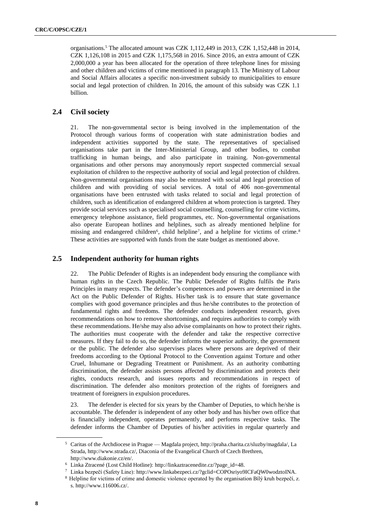organisations.<sup>5</sup> The allocated amount was CZK 1,112,449 in 2013, CZK 1,152,448 in 2014, CZK 1,126,108 in 2015 and CZK 1,175,568 in 2016. Since 2016, an extra amount of CZK 2,000,000 a year has been allocated for the operation of three telephone lines for missing and other children and victims of crime mentioned in paragraph 13. The Ministry of Labour and Social Affairs allocates a specific non-investment subsidy to municipalities to ensure social and legal protection of children. In 2016, the amount of this subsidy was CZK 1.1 billion.

### **2.4 Civil society**

21. The non-governmental sector is being involved in the implementation of the Protocol through various forms of cooperation with state administration bodies and independent activities supported by the state. The representatives of specialised organisations take part in the Inter-Ministerial Group, and other bodies, to combat trafficking in human beings, and also participate in training. Non-governmental organisations and other persons may anonymously report suspected commercial sexual exploitation of children to the respective authority of social and legal protection of children. Non-governmental organisations may also be entrusted with social and legal protection of children and with providing of social services. A total of 406 non-governmental organisations have been entrusted with tasks related to social and legal protection of children, such as identification of endangered children at whom protection is targeted. They provide social services such as specialised social counselling, counselling for crime victims, emergency telephone assistance, field programmes, etc. Non-governmental organisations also operate European hotlines and helplines, such as already mentioned helpline for missing and endangered children<sup>6</sup>, child helpline<sup>7</sup>, and a helpline for victims of crime.<sup>8</sup> These activities are supported with funds from the state budget as mentioned above.

#### **2.5 Independent authority for human rights**

22. The Public Defender of Rights is an independent body ensuring the compliance with human rights in the Czech Republic. The Public Defender of Rights fulfils the Paris Principles in many respects. The defender's competences and powers are determined in the Act on the Public Defender of Rights. His/her task is to ensure that state governance complies with good governance principles and thus he/she contributes to the protection of fundamental rights and freedoms. The defender conducts independent research, gives recommendations on how to remove shortcomings, and requires authorities to comply with these recommendations. He/she may also advise complainants on how to protect their rights. The authorities must cooperate with the defender and take the respective corrective measures. If they fail to do so, the defender informs the superior authority, the government or the public. The defender also supervises places where persons are deprived of their freedoms according to the Optional Protocol to the Convention against Torture and other Cruel, Inhumane or Degrading Treatment or Punishment. As an authority combatting discrimination, the defender assists persons affected by discrimination and protects their rights, conducts research, and issues reports and recommendations in respect of discrimination. The defender also monitors protection of the rights of foreigners and treatment of foreigners in expulsion procedures.

23. The defender is elected for six years by the Chamber of Deputies, to which he/she is accountable. The defender is independent of any other body and has his/her own office that is financially independent, operates permanently, and performs respective tasks. The defender informs the Chamber of Deputies of his/her activities in regular quarterly and

<sup>5</sup> Caritas of the Archdiocese in Prague — Magdala project[, http://praha.charita.cz/sluzby/magdala/,](http://praha.charita.cz/sluzby/magdala/) La Strada, [http://www.strada.cz/,](http://www.strada.cz/) Diaconia of the Evangelical Church of Czech Brethren, [http://www.diakonie.cz/en/.](http://www.diakonie.cz/en/)

<sup>6</sup> Linka Ztracené (Lost Child Hotline)[: http://linkaztracenedite.cz/?page\\_id=48.](http://linkaztracenedite.cz/?page_id=48)

<sup>7</sup> Linka bezpečí (Safety Line): [http://www.linkabezpeci.cz/?gclid=COPOsriyo9ICFaQW0wodztoINA.](http://www.linkabezpeci.cz/?gclid=COPOsriyo9ICFaQW0wodztoINA)

<sup>8</sup> Helpline for victims of crime and domestic violence operated by the organisation Bílý kruh bezpečí, z. s[. http://www.116006.cz/.](http://www.116006.cz/)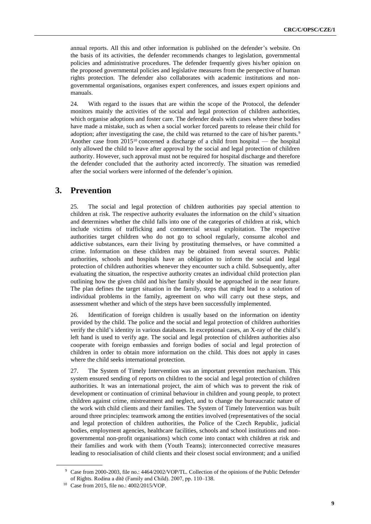annual reports. All this and other information is published on the defender's website. On the basis of its activities, the defender recommends changes to legislation, governmental policies and administrative procedures. The defender frequently gives his/her opinion on the proposed governmental policies and legislative measures from the perspective of human rights protection. The defender also collaborates with academic institutions and nongovernmental organisations, organises expert conferences, and issues expert opinions and manuals.

24. With regard to the issues that are within the scope of the Protocol, the defender monitors mainly the activities of the social and legal protection of children authorities, which organise adoptions and foster care. The defender deals with cases where these bodies have made a mistake, such as when a social worker forced parents to release their child for adoption; after investigating the case, the child was returned to the care of his/her parents.<sup>9</sup> Another case from  $2015^{10}$  concerned a discharge of a child from hospital — the hospital only allowed the child to leave after approval by the social and legal protection of children authority. However, such approval must not be required for hospital discharge and therefore the defender concluded that the authority acted incorrectly. The situation was remedied after the social workers were informed of the defender's opinion.

### **3. Prevention**

25. The social and legal protection of children authorities pay special attention to children at risk. The respective authority evaluates the information on the child's situation and determines whether the child falls into one of the categories of children at risk, which include victims of trafficking and commercial sexual exploitation. The respective authorities target children who do not go to school regularly, consume alcohol and addictive substances, earn their living by prostituting themselves, or have committed a crime. Information on these children may be obtained from several sources. Public authorities, schools and hospitals have an obligation to inform the social and legal protection of children authorities whenever they encounter such a child. Subsequently, after evaluating the situation, the respective authority creates an individual child protection plan outlining how the given child and his/her family should be approached in the near future. The plan defines the target situation in the family, steps that might lead to a solution of individual problems in the family, agreement on who will carry out these steps, and assessment whether and which of the steps have been successfully implemented.

26. Identification of foreign children is usually based on the information on identity provided by the child. The police and the social and legal protection of children authorities verify the child's identity in various databases. In exceptional cases, an X-ray of the child's left hand is used to verify age. The social and legal protection of children authorities also cooperate with foreign embassies and foreign bodies of social and legal protection of children in order to obtain more information on the child. This does not apply in cases where the child seeks international protection.

27. The System of Timely Intervention was an important prevention mechanism. This system ensured sending of reports on children to the social and legal protection of children authorities. It was an international project, the aim of which was to prevent the risk of development or continuation of criminal behaviour in children and young people, to protect children against crime, mistreatment and neglect, and to change the bureaucratic nature of the work with child clients and their families. The System of Timely Intervention was built around three principles: teamwork among the entities involved (representatives of the social and legal protection of children authorities, the Police of the Czech Republic, judicial bodies, employment agencies, healthcare facilities, schools and school institutions and nongovernmental non-profit organisations) which come into contact with children at risk and their families and work with them (Youth Teams); interconnected corrective measures leading to resocialisation of child clients and their closest social environment; and a unified

<sup>9</sup> Case from 2000-2003, file no.: 4464/2002/VOP/TL. Collection of the opinions of the Public Defender of Rights. Rodina a dítě (Family and Child). 2007, pp. 110–138.

<sup>10</sup> Case from 2015, file no.: 4002/2015/VOP.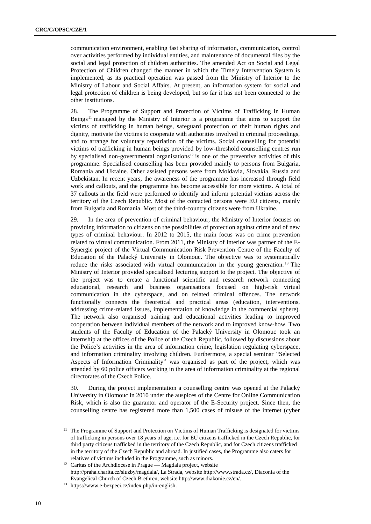communication environment, enabling fast sharing of information, communication, control over activities performed by individual entities, and maintenance of documental files by the social and legal protection of children authorities. The amended Act on Social and Legal Protection of Children changed the manner in which the Timely Intervention System is implemented, as its practical operation was passed from the Ministry of Interior to the Ministry of Labour and Social Affairs. At present, an information system for social and legal protection of children is being developed, but so far it has not been connected to the other institutions.

28. The Programme of Support and Protection of Victims of Trafficking in Human Beings<sup>11</sup> managed by the Ministry of Interior is a programme that aims to support the victims of trafficking in human beings, safeguard protection of their human rights and dignity, motivate the victims to cooperate with authorities involved in criminal proceedings, and to arrange for voluntary repatriation of the victims. Social counselling for potential victims of trafficking in human beings provided by low-threshold counselling centres run by specialised non-governmental organisations<sup>12</sup> is one of the preventive activities of this programme. Specialised counselling has been provided mainly to persons from Bulgaria, Romania and Ukraine. Other assisted persons were from Moldavia, Slovakia, Russia and Uzbekistan. In recent years, the awareness of the programme has increased through field work and callouts, and the programme has become accessible for more victims. A total of 37 callouts in the field were performed to identify and inform potential victims across the territory of the Czech Republic. Most of the contacted persons were EU citizens, mainly from Bulgaria and Romania. Most of the third-country citizens were from Ukraine.

29. In the area of prevention of criminal behaviour, the Ministry of Interior focuses on providing information to citizens on the possibilities of protection against crime and of new types of criminal behaviour. In 2012 to 2015, the main focus was on crime prevention related to virtual communication. From 2011, the Ministry of Interior was partner of the E-Synergie project of the Virtual Communication Risk Prevention Centre of the Faculty of Education of the Palacký University in Olomouc. The objective was to systematically reduce the risks associated with virtual communication in the young generation. <sup>13</sup> The Ministry of Interior provided specialised lecturing support to the project. The objective of the project was to create a functional scientific and research network connecting educational, research and business organisations focused on high-risk virtual communication in the cyberspace, and on related criminal offences. The network functionally connects the theoretical and practical areas (education, interventions, addressing crime-related issues, implementation of knowledge in the commercial sphere). The network also organised training and educational activities leading to improved cooperation between individual members of the network and to improved know-how. Two students of the Faculty of Education of the Palacký University in Olomouc took an internship at the offices of the Police of the Czech Republic, followed by discussions about the Police's activities in the area of information crime, legislation regulating cyberspace, and information criminality involving children. Furthermore, a special seminar "Selected Aspects of Information Criminality" was organised as part of the project, which was attended by 60 police officers working in the area of information criminality at the regional directorates of the Czech Police.

30. During the project implementation a counselling centre was opened at the Palacký University in Olomouc in 2010 under the auspices of the Centre for Online Communication Risk, which is also the guarantor and operator of the E-Security project. Since then, the counselling centre has registered more than 1,500 cases of misuse of the internet (cyber

<sup>&</sup>lt;sup>11</sup> The Programme of Support and Protection on Victims of Human Trafficking is designated for victims of trafficking in persons over 18 years of age, i.e. for EU citizens trafficked in the Czech Republic, for third party citizens trafficked in the territory of the Czech Republic, and for Czech citizens trafficked in the territory of the Czech Republic and abroad. In justified cases, the Programme also caters for relatives of victims included in the Programme, such as minors.

<sup>&</sup>lt;sup>12</sup> Caritas of the Archdiocese in Prague — Magdala project, website [http://praha.charita.cz/sluzby/magdala/,](http://praha.charita.cz/sluzby/magdala/) La Strada, website [http://www.strada.cz/,](http://www.strada.cz/) Diaconia of the Evangelical Church of Czech Brethren, website [http://www.diakonie.cz/en/.](http://www.diakonie.cz/en/)

<sup>13</sup> [https://www.e-bezpeci.cz/index.php/in-english.](https://www.e-bezpeci.cz/index.php/in-english)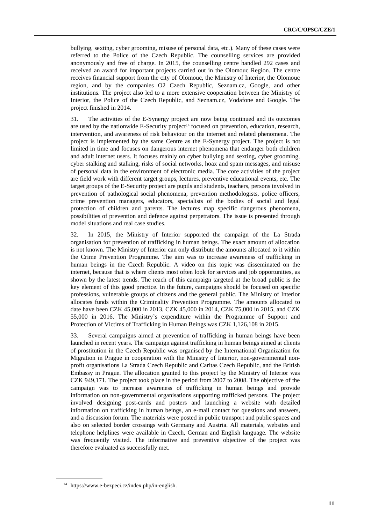bullying, sexting, cyber grooming, misuse of personal data, etc.). Many of these cases were referred to the Police of the Czech Republic. The counselling services are provided anonymously and free of charge. In 2015, the counselling centre handled 292 cases and received an award for important projects carried out in the Olomouc Region. The centre receives financial support from the city of Olomouc, the Ministry of Interior, the Olomouc region, and by the companies O2 Czech Republic, Seznam.cz, Google, and other institutions. The project also led to a more extensive cooperation between the Ministry of Interior, the Police of the Czech Republic, and Seznam.cz, Vodafone and Google. The project finished in 2014.

31. The activities of the E-Synergy project are now being continued and its outcomes are used by the nationwide E-Security project<sup> $14$ </sup> focused on prevention, education, research, intervention, and awareness of risk behaviour on the internet and related phenomena. The project is implemented by the same Centre as the E-Synergy project. The project is not limited in time and focuses on dangerous internet phenomena that endanger both children and adult internet users. It focuses mainly on cyber bullying and sexting, cyber grooming, cyber stalking and stalking, risks of social networks, hoax and spam messages, and misuse of personal data in the environment of electronic media. The core activities of the project are field work with different target groups, lectures, preventive educational events, etc. The target groups of the E-Security project are pupils and students, teachers, persons involved in prevention of pathological social phenomena, prevention methodologists, police officers, crime prevention managers, educators, specialists of the bodies of social and legal protection of children and parents. The lectures map specific dangerous phenomena, possibilities of prevention and defence against perpetrators. The issue is presented through model situations and real case studies.

32. In 2015, the Ministry of Interior supported the campaign of the La Strada organisation for prevention of trafficking in human beings. The exact amount of allocation is not known. The Ministry of Interior can only distribute the amounts allocated to it within the Crime Prevention Programme. The aim was to increase awareness of trafficking in human beings in the Czech Republic. A video on this topic was disseminated on the internet, because that is where clients most often look for services and job opportunities, as shown by the latest trends. The reach of this campaign targeted at the broad public is the key element of this good practice. In the future, campaigns should be focused on specific professions, vulnerable groups of citizens and the general public. The Ministry of Interior allocates funds within the Criminality Prevention Programme. The amounts allocated to date have been CZK 45,000 in 2013, CZK 45,000 in 2014, CZK 75,000 in 2015, and CZK 55,000 in 2016. The Ministry's expenditure within the Programme of Support and Protection of Victims of Trafficking in Human Beings was CZK 1,126,108 in 2015.

33. Several campaigns aimed at prevention of trafficking in human beings have been launched in recent years. The campaign against trafficking in human beings aimed at clients of prostitution in the Czech Republic was organised by the International Organization for Migration in Prague in cooperation with the Ministry of Interior, non-governmental nonprofit organisations La Strada Czech Republic and Caritas Czech Republic, and the British Embassy in Prague. The allocation granted to this project by the Ministry of Interior was CZK 949,171. The project took place in the period from 2007 to 2008. The objective of the campaign was to increase awareness of trafficking in human beings and provide information on non-governmental organisations supporting trafficked persons. The project involved designing post-cards and posters and launching a website with detailed information on trafficking in human beings, an e-mail contact for questions and answers, and a discussion forum. The materials were posted in public transport and public spaces and also on selected border crossings with Germany and Austria. All materials, websites and telephone helplines were available in Czech, German and English language. The website was frequently visited. The informative and preventive objective of the project was therefore evaluated as successfully met.

<sup>14</sup> [https://www.e-bezpeci.cz/index.php/in-english.](https://www.e-bezpeci.cz/index.php/in-english)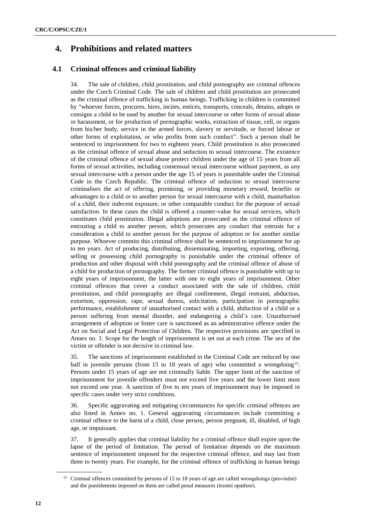# **4. Prohibitions and related matters**

## **4.1 Criminal offences and criminal liability**

34. The sale of children, child prostitution, and child pornography are criminal offences under the Czech Criminal Code. The sale of children and child prostitution are prosecuted as the criminal offence of trafficking in human beings. Trafficking in children is committed by "whoever forces, procures, hires, incites, entices, transports, conceals, detains, adopts or consigns a child to be used by another for sexual intercourse or other forms of sexual abuse or harassment, or for production of pornographic works, extraction of tissue, cell, or organs from his/her body, service in the armed forces, slavery or servitude, or forced labour or other forms of exploitation, or who profits from such conduct". Such a person shall be sentenced to imprisonment for two to eighteen years. Child prostitution is also prosecuted as the criminal offence of sexual abuse and seduction to sexual intercourse. The existence of the criminal offence of sexual abuse protect children under the age of 15 years from all forms of sexual activities, including consensual sexual intercourse without payment, as any sexual intercourse with a person under the age 15 of years is punishable under the Criminal Code in the Czech Republic. The criminal offence of seduction to sexual intercourse criminalises the act of offering, promising, or providing monetary reward, benefits or advantages to a child or to another person for sexual intercourse with a child, masturbation of a child, their indecent exposure, or other comparable conduct for the purpose of sexual satisfaction. In these cases the child is offered a counter-value for sexual services, which constitutes child prostitution. Illegal adoptions are prosecuted as the criminal offence of entrusting a child to another person, which prosecutes any conduct that entrusts for a consideration a child to another person for the purpose of adoption or for another similar purpose. Whoever commits this criminal offence shall be sentenced to imprisonment for up to ten years. Act of producing, distributing, disseminating, importing, exporting, offering, selling or possessing child pornography is punishable under the criminal offence of production and other disposal with child pornography and the criminal offence of abuse of a child for production of pornography. The former criminal offence is punishable with up to eight years of imprisonment, the latter with one to eight years of imprisonment. Other criminal offences that cover a conduct associated with the sale of children, child prostitution, and child pornography are illegal confinement, illegal restraint, abduction, extortion, oppression, rape, sexual duress, solicitation, participation in pornographic performance, establishment of unauthorised contact with a child, abduction of a child or a person suffering from mental disorder, and endangering a child's care. Unauthorised arrangement of adoption or foster care is sanctioned as an administrative offence under the Act on Social and Legal Protection of Children. The respective provisions are specified in Annex no. 1. Scope for the length of imprisonment is set out at each crime. The sex of the victim or offender is not decisive in criminal law.

35. The sanctions of imprisonment established in the Criminal Code are reduced by one half in juvenile persons (from 15 to 18 years of age) who committed a wrongdoing<sup>15</sup>. Persons under 15 years of age are not criminally liable. The upper limit of the sanction of imprisonment for juvenile offenders must not exceed five years and the lower limit must not exceed one year. A sanction of five to ten years of imprisonment may be imposed in specific cases under very strict conditions.

36. Specific aggravating and mitigating circumstances for specific criminal offences are also listed in Annex no. 1. General aggravating circumstances include committing a criminal offence to the harm of a child, close person, person pregnant, ill, disabled, of high age, or impuissant.

37. It generally applies that criminal liability for a criminal offence shall expire upon the lapse of the period of limitation. The period of limitation depends on the maximum sentence of imprisonment imposed for the respective criminal offence, and may last from three to twenty years. For example, for the criminal offence of trafficking in human beings

<sup>15</sup> Criminal offences committed by persons of 15 to 18 years of age are called wrongdoings (provinění) and the punishments imposed on them are called penal measures (trestní opatření).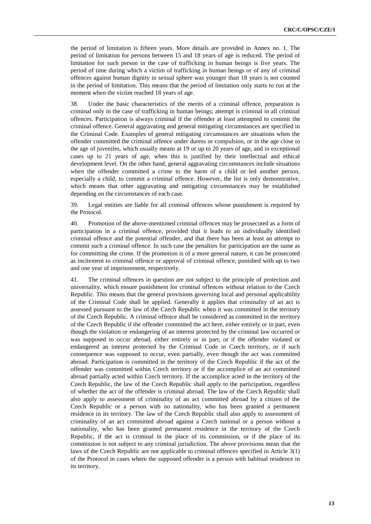the period of limitation is fifteen years. More details are provided in Annex no. 1. The period of limitation for persons between 15 and 18 years of age is reduced. The period of limitation for such person in the case of trafficking in human beings is five years. The period of time during which a victim of trafficking in human beings or of any of criminal offences against human dignity in sexual sphere was younger than 18 years is not counted in the period of limitation. This means that the period of limitation only starts to run at the moment when the victim reached 18 years of age.

38. Under the basic characteristics of the merits of a criminal offence, preparation is criminal only in the case of trafficking in human beings; attempt is criminal in all criminal offences. Participation is always criminal if the offender at least attempted to commit the criminal offence. General aggravating and general mitigating circumstances are specified in the Criminal Code. Examples of general mitigating circumstances are situations when the offender committed the criminal offence under duress or compulsion, or in the age close to the age of juveniles, which usually means at 19 or up to 20 years of age, and in exceptional cases up to 21 years of age, when this is justified by their intellectual and ethical development level. On the other hand, general aggravating circumstances include situations when the offender committed a crime to the harm of a child or led another person, especially a child, to commit a criminal offence. However, the list is only demonstrative, which means that other aggravating and mitigating circumstances may be established depending on the circumstances of each case.

39. Legal entities are liable for all criminal offences whose punishment is required by the Protocol.

40. Promotion of the above-mentioned criminal offences may be prosecuted as a form of participation in a criminal offence, provided that it leads to an individually identified criminal offence and the potential offender, and that there has been at least an attempt to commit such a criminal offence. In such case the penalties for participation are the same as for committing the crime. If the promotion is of a more general nature, it can be prosecuted as incitement to criminal offence or approval of criminal offence, punished with up to two and one year of imprisonment, respectively.

41. The criminal offences in question are not subject to the principle of protection and universality, which ensure punishment for criminal offences without relation to the Czech Republic. This means that the general provisions governing local and personal applicability of the Criminal Code shall be applied. Generally it applies that criminality of an act is assessed pursuant to the law of the Czech Republic when it was committed in the territory of the Czech Republic. A criminal offence shall be considered as committed in the territory of the Czech Republic if the offender committed the act here, either entirely or in part, even though the violation or endangering of an interest protected by the criminal law occurred or was supposed to occur abroad, either entirely or in part, or if the offender violated or endangered an interest protected by the Criminal Code in Czech territory, or if such consequence was supposed to occur, even partially, even though the act was committed abroad. Participation is committed in the territory of the Czech Republic if the act of the offender was committed within Czech territory or if the accomplice of an act committed abroad partially acted within Czech territory. If the accomplice acted in the territory of the Czech Republic, the law of the Czech Republic shall apply to the participation, regardless of whether the act of the offender is criminal abroad. The law of the Czech Republic shall also apply to assessment of criminality of an act committed abroad by a citizen of the Czech Republic or a person with no nationality, who has been granted a permanent residence in its territory. The law of the Czech Republic shall also apply to assessment of criminality of an act committed abroad against a Czech national or a person without a nationality, who has been granted permanent residence in the territory of the Czech Republic, if the act is criminal in the place of its commission, or if the place of its commission is not subject to any criminal jurisdiction. The above provisions mean that the laws of the Czech Republic are not applicable to criminal offences specified in Article 3(1) of the Protocol in cases where the supposed offender is a person with habitual residence in its territory.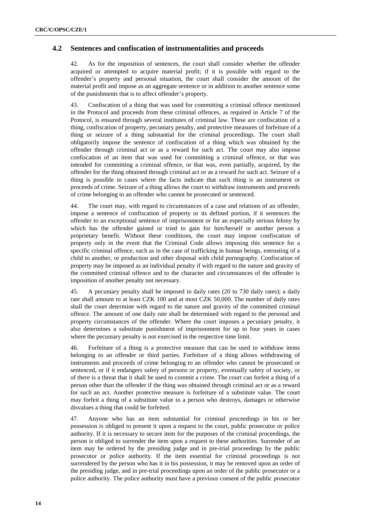### **4.2 Sentences and confiscation of instrumentalities and proceeds**

42. As for the imposition of sentences, the court shall consider whether the offender acquired or attempted to acquire material profit; if it is possible with regard to the offender's property and personal situation, the court shall consider the amount of the material profit and impose as an aggregate sentence or in addition to another sentence some of the punishments that is to affect offender's property.

43. Confiscation of a thing that was used for committing a criminal offence mentioned in the Protocol and proceeds from these criminal offences, as required in Article 7 of the Protocol, is ensured through several institutes of criminal law. These are confiscation of a thing, confiscation of property, pecuniary penalty, and protective measures of forfeiture of a thing or seizure of a thing substantial for the criminal proceedings. The court shall obligatorily impose the sentence of confiscation of a thing which was obtained by the offender through criminal act or as a reward for such act. The court may also impose confiscation of an item that was used for committing a criminal offence, or that was intended for committing a criminal offence, or that was, even partially, acquired, by the offender for the thing obtained through criminal act or as a reward for such act. Seizure of a thing is possible in cases where the facts indicate that such thing is an instrument or proceeds of crime. Seizure of a thing allows the court to withdraw instruments and proceeds of crime belonging to an offender who cannot be prosecuted or sentenced.

44. The court may, with regard to circumstances of a case and relations of an offender, impose a sentence of confiscation of property or its defined portion, if it sentences the offender to an exceptional sentence of imprisonment or for an especially serious felony by which has the offender gained or tried to gain for him/herself or another person a proprietary benefit. Without these conditions, the court may impose confiscation of property only in the event that the Criminal Code allows imposing this sentence for a specific criminal offence, such as in the case of trafficking in human beings, entrusting of a child to another, or production and other disposal with child pornography. Confiscation of property may be imposed as an individual penalty if with regard to the nature and gravity of the committed criminal offence and to the character and circumstances of the offender is imposition of another penalty not necessary.

45. A pecuniary penalty shall be imposed in daily rates (20 to 730 daily rates); a daily rate shall amount to at least CZK 100 and at most CZK 50,000. The number of daily rates shall the court determine with regard to the nature and gravity of the committed criminal offence. The amount of one daily rate shall be determined with regard to the personal and property circumstances of the offender. Where the court imposes a pecuniary penalty, it also determines a substitute punishment of imprisonment for up to four years in cases where the pecuniary penalty is not exercised in the respective time limit.

46. Forfeiture of a thing is a protective measure that can be used to withdraw items belonging to an offender or third parties. Forfeiture of a thing allows withdrawing of instruments and proceeds of crime belonging to an offender who cannot be prosecuted or sentenced, or if it endangers safety of persons or property, eventually safety of society, or of there is a threat that it shall be used to commit a crime. The court can forfeit a thing of a person other than the offender if the thing was obtained through criminal act or as a reward for such an act. Another protective measure is forfeiture of a substitute value. The court may forfeit a thing of a substitute value to a person who destroys, damages or otherwise disvalues a thing that could be forfeited.

47. Anyone who has an item substantial for criminal proceedings in his or her possession is obliged to present it upon a request to the court, public prosecutor or police authority. If it is necessary to secure item for the purposes of the criminal proceedings, the person is obliged to surrender the item upon a request to these authorities. Surrender of an item may be ordered by the presiding judge and in pre-trial proceedings by the public prosecutor or police authority. If the item essential for criminal proceedings is not surrendered by the person who has it in his possession, it may be removed upon an order of the presiding judge, and in pre-trial proceedings upon an order of the public prosecutor or a police authority. The police authority must have a previous consent of the public prosecutor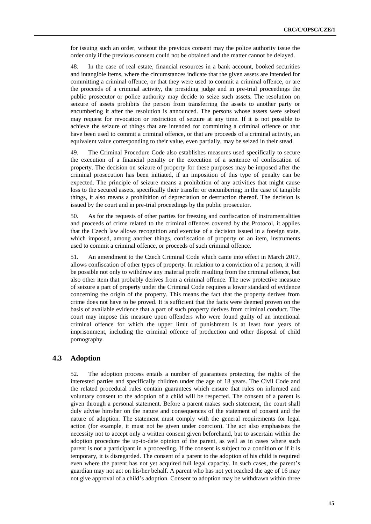for issuing such an order, without the previous consent may the police authority issue the order only if the previous consent could not be obtained and the matter cannot be delayed.

48. In the case of real estate, financial resources in a bank account, booked securities and intangible items, where the circumstances indicate that the given assets are intended for committing a criminal offence, or that they were used to commit a criminal offence, or are the proceeds of a criminal activity, the presiding judge and in pre-trial proceedings the public prosecutor or police authority may decide to seize such assets. The resolution on seizure of assets prohibits the person from transferring the assets to another party or encumbering it after the resolution is announced. The persons whose assets were seized may request for revocation or restriction of seizure at any time. If it is not possible to achieve the seizure of things that are intended for committing a criminal offence or that have been used to commit a criminal offence, or that are proceeds of a criminal activity, an equivalent value corresponding to their value, even partially, may be seized in their stead.

49. The Criminal Procedure Code also establishes measures used specifically to secure the execution of a financial penalty or the execution of a sentence of confiscation of property. The decision on seizure of property for these purposes may be imposed after the criminal prosecution has been initiated, if an imposition of this type of penalty can be expected. The principle of seizure means a prohibition of any activities that might cause loss to the secured assets, specifically their transfer or encumbering; in the case of tangible things, it also means a prohibition of depreciation or destruction thereof. The decision is issued by the court and in pre-trial proceedings by the public prosecutor.

50. As for the requests of other parties for freezing and confiscation of instrumentalities and proceeds of crime related to the criminal offences covered by the Protocol, it applies that the Czech law allows recognition and exercise of a decision issued in a foreign state, which imposed, among another things, confiscation of property or an item, instruments used to commit a criminal offence, or proceeds of such criminal offence.

51. An amendment to the Czech Criminal Code which came into effect in March 2017, allows confiscation of other types of property. In relation to a conviction of a person, it will be possible not only to withdraw any material profit resulting from the criminal offence, but also other item that probably derives from a criminal offence. The new protective measure of seizure a part of property under the Criminal Code requires a lower standard of evidence concerning the origin of the property. This means the fact that the property derives from crime does not have to be proved. It is sufficient that the facts were deemed proven on the basis of available evidence that a part of such property derives from criminal conduct. The court may impose this measure upon offenders who were found guilty of an intentional criminal offence for which the upper limit of punishment is at least four years of imprisonment, including the criminal offence of production and other disposal of child pornography.

### **4.3 Adoption**

52. The adoption process entails a number of guarantees protecting the rights of the interested parties and specifically children under the age of 18 years. The Civil Code and the related procedural rules contain guarantees which ensure that rules on informed and voluntary consent to the adoption of a child will be respected. The consent of a parent is given through a personal statement. Before a parent makes such statement, the court shall duly advise him/her on the nature and consequences of the statement of consent and the nature of adoption. The statement must comply with the general requirements for legal action (for example, it must not be given under coercion). The act also emphasises the necessity not to accept only a written consent given beforehand, but to ascertain within the adoption procedure the up-to-date opinion of the parent, as well as in cases where such parent is not a participant in a proceeding. If the consent is subject to a condition or if it is temporary, it is disregarded. The consent of a parent to the adoption of his child is required even where the parent has not yet acquired full legal capacity. In such cases, the parent's guardian may not act on his/her behalf. A parent who has not yet reached the age of 16 may not give approval of a child's adoption. Consent to adoption may be withdrawn within three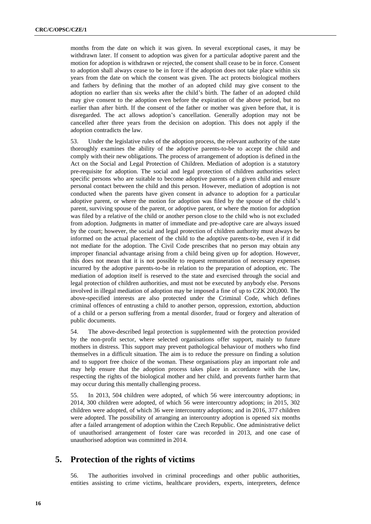months from the date on which it was given. In several exceptional cases, it may be withdrawn later. If consent to adoption was given for a particular adoptive parent and the motion for adoption is withdrawn or rejected, the consent shall cease to be in force. Consent to adoption shall always cease to be in force if the adoption does not take place within six years from the date on which the consent was given. The act protects biological mothers and fathers by defining that the mother of an adopted child may give consent to the adoption no earlier than six weeks after the child's birth. The father of an adopted child may give consent to the adoption even before the expiration of the above period, but no earlier than after birth. If the consent of the father or mother was given before that, it is disregarded. The act allows adoption's cancellation. Generally adoption may not be cancelled after three years from the decision on adoption. This does not apply if the adoption contradicts the law.

53. Under the legislative rules of the adoption process, the relevant authority of the state thoroughly examines the ability of the adoptive parents-to-be to accept the child and comply with their new obligations. The process of arrangement of adoption is defined in the Act on the Social and Legal Protection of Children. Mediation of adoption is a statutory pre-requisite for adoption. The social and legal protection of children authorities select specific persons who are suitable to become adoptive parents of a given child and ensure personal contact between the child and this person. However, mediation of adoption is not conducted when the parents have given consent in advance to adoption for a particular adoptive parent, or where the motion for adoption was filed by the spouse of the child's parent, surviving spouse of the parent, or adoptive parent, or where the motion for adoption was filed by a relative of the child or another person close to the child who is not excluded from adoption. Judgments in matter of immediate and pre-adoptive care are always issued by the court; however, the social and legal protection of children authority must always be informed on the actual placement of the child to the adoptive parents-to-be, even if it did not mediate for the adoption. The Civil Code prescribes that no person may obtain any improper financial advantage arising from a child being given up for adoption. However, this does not mean that it is not possible to request remuneration of necessary expenses incurred by the adoptive parents-to-be in relation to the preparation of adoption, etc. The mediation of adoption itself is reserved to the state and exercised through the social and legal protection of children authorities, and must not be executed by anybody else. Persons involved in illegal mediation of adoption may be imposed a fine of up to CZK 200,000. The above-specified interests are also protected under the Criminal Code, which defines criminal offences of entrusting a child to another person, oppression, extortion, abduction of a child or a person suffering from a mental disorder, fraud or forgery and alteration of public documents.

54. The above-described legal protection is supplemented with the protection provided by the non-profit sector, where selected organisations offer support, mainly to future mothers in distress. This support may prevent pathological behaviour of mothers who find themselves in a difficult situation. The aim is to reduce the pressure on finding a solution and to support free choice of the woman. These organisations play an important role and may help ensure that the adoption process takes place in accordance with the law, respecting the rights of the biological mother and her child, and prevents further harm that may occur during this mentally challenging process.

55. In 2013, 504 children were adopted, of which 56 were intercountry adoptions; in 2014, 300 children were adopted, of which 56 were intercountry adoptions; in 2015, 302 children were adopted, of which 36 were intercountry adoptions; and in 2016, 377 children were adopted. The possibility of arranging an intercountry adoption is opened six months after a failed arrangement of adoption within the Czech Republic. One administrative delict of unauthorised arrangement of foster care was recorded in 2013, and one case of unauthorised adoption was committed in 2014.

## **5. Protection of the rights of victims**

56. The authorities involved in criminal proceedings and other public authorities, entities assisting to crime victims, healthcare providers, experts, interpreters, defence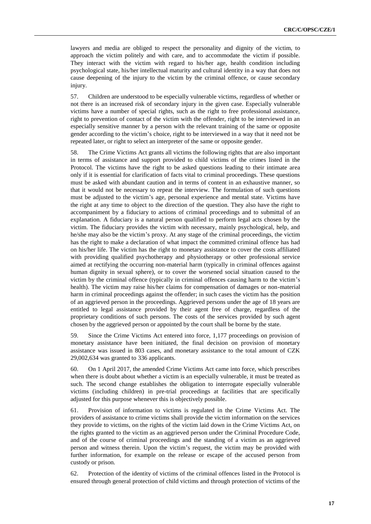lawyers and media are obliged to respect the personality and dignity of the victim, to approach the victim politely and with care, and to accommodate the victim if possible. They interact with the victim with regard to his/her age, health condition including psychological state, his/her intellectual maturity and cultural identity in a way that does not cause deepening of the injury to the victim by the criminal offence, or cause secondary injury.

57. Children are understood to be especially vulnerable victims, regardless of whether or not there is an increased risk of secondary injury in the given case. Especially vulnerable victims have a number of special rights, such as the right to free professional assistance, right to prevention of contact of the victim with the offender, right to be interviewed in an especially sensitive manner by a person with the relevant training of the same or opposite gender according to the victim's choice, right to be interviewed in a way that it need not be repeated later, or right to select an interpreter of the same or opposite gender.

58. The Crime Victims Act grants all victims the following rights that are also important in terms of assistance and support provided to child victims of the crimes listed in the Protocol. The victims have the right to be asked questions leading to their intimate area only if it is essential for clarification of facts vital to criminal proceedings. These questions must be asked with abundant caution and in terms of content in an exhaustive manner, so that it would not be necessary to repeat the interview. The formulation of such questions must be adjusted to the victim's age, personal experience and mental state. Victims have the right at any time to object to the direction of the question. They also have the right to accompaniment by a fiduciary to actions of criminal proceedings and to submittal of an explanation. A fiduciary is a natural person qualified to perform legal acts chosen by the victim. The fiduciary provides the victim with necessary, mainly psychological, help, and he/she may also be the victim's proxy. At any stage of the criminal proceedings, the victim has the right to make a declaration of what impact the committed criminal offence has had on his/her life. The victim has the right to monetary assistance to cover the costs affiliated with providing qualified psychotherapy and physiotherapy or other professional service aimed at rectifying the occurring non-material harm (typically in criminal offences against human dignity in sexual sphere), or to cover the worsened social situation caused to the victim by the criminal offence (typically in criminal offences causing harm to the victim's health). The victim may raise his/her claims for compensation of damages or non-material harm in criminal proceedings against the offender; in such cases the victim has the position of an aggrieved person in the proceedings. Aggrieved persons under the age of 18 years are entitled to legal assistance provided by their agent free of charge, regardless of the proprietary conditions of such persons. The costs of the services provided by such agent chosen by the aggrieved person or appointed by the court shall be borne by the state.

59. Since the Crime Victims Act entered into force, 1,177 proceedings on provision of monetary assistance have been initiated, the final decision on provision of monetary assistance was issued in 803 cases, and monetary assistance to the total amount of CZK 29,002,634 was granted to 336 applicants.

60. On 1 April 2017, the amended Crime Victims Act came into force, which prescribes when there is doubt about whether a victim is an especially vulnerable, it must be treated as such. The second change establishes the obligation to interrogate especially vulnerable victims (including children) in pre-trial proceedings at facilities that are specifically adjusted for this purpose whenever this is objectively possible.

61. Provision of information to victims is regulated in the Crime Victims Act. The providers of assistance to crime victims shall provide the victim information on the services they provide to victims, on the rights of the victim laid down in the Crime Victims Act, on the rights granted to the victim as an aggrieved person under the Criminal Procedure Code, and of the course of criminal proceedings and the standing of a victim as an aggrieved person and witness therein. Upon the victim's request, the victim may be provided with further information, for example on the release or escape of the accused person from custody or prison.

62. Protection of the identity of victims of the criminal offences listed in the Protocol is ensured through general protection of child victims and through protection of victims of the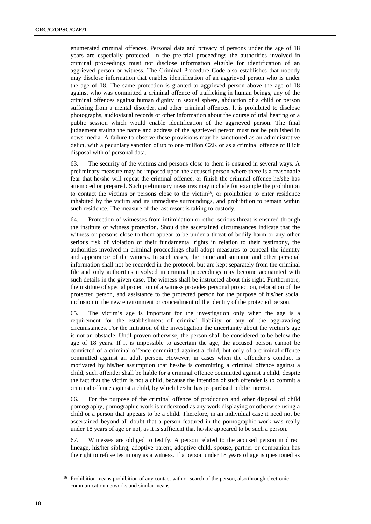enumerated criminal offences. Personal data and privacy of persons under the age of 18 years are especially protected. In the pre-trial proceedings the authorities involved in criminal proceedings must not disclose information eligible for identification of an aggrieved person or witness. The Criminal Procedure Code also establishes that nobody may disclose information that enables identification of an aggrieved person who is under the age of 18. The same protection is granted to aggrieved person above the age of 18 against who was committed a criminal offence of trafficking in human beings, any of the criminal offences against human dignity in sexual sphere, abduction of a child or person suffering from a mental disorder, and other criminal offences. It is prohibited to disclose photographs, audiovisual records or other information about the course of trial hearing or a public session which would enable identification of the aggrieved person. The final judgement stating the name and address of the aggrieved person must not be published in news media. A failure to observe these provisions may be sanctioned as an administrative delict, with a pecuniary sanction of up to one million CZK or as a criminal offence of illicit disposal with of personal data.

63. The security of the victims and persons close to them is ensured in several ways. A preliminary measure may be imposed upon the accused person where there is a reasonable fear that he/she will repeat the criminal offence, or finish the criminal offence he/she has attempted or prepared. Such preliminary measures may include for example the prohibition to contact the victims or persons close to the victim<sup>16</sup>, or prohibition to enter residence inhabited by the victim and its immediate surroundings, and prohibition to remain within such residence. The measure of the last resort is taking to custody.

64. Protection of witnesses from intimidation or other serious threat is ensured through the institute of witness protection. Should the ascertained circumstances indicate that the witness or persons close to them appear to be under a threat of bodily harm or any other serious risk of violation of their fundamental rights in relation to their testimony, the authorities involved in criminal proceedings shall adopt measures to conceal the identity and appearance of the witness. In such cases, the name and surname and other personal information shall not be recorded in the protocol, but are kept separately from the criminal file and only authorities involved in criminal proceedings may become acquainted with such details in the given case. The witness shall be instructed about this right. Furthermore, the institute of special protection of a witness provides personal protection, relocation of the protected person, and assistance to the protected person for the purpose of his/her social inclusion in the new environment or concealment of the identity of the protected person.

65. The victim's age is important for the investigation only when the age is a requirement for the establishment of criminal liability or any of the aggravating circumstances. For the initiation of the investigation the uncertainty about the victim's age is not an obstacle. Until proven otherwise, the person shall be considered to be below the age of 18 years. If it is impossible to ascertain the age, the accused person cannot be convicted of a criminal offence committed against a child, but only of a criminal offence committed against an adult person. However, in cases when the offender's conduct is motivated by his/her assumption that he/she is committing a criminal offence against a child, such offender shall be liable for a criminal offence committed against a child, despite the fact that the victim is not a child, because the intention of such offender is to commit a criminal offence against a child, by which he/she has jeopardised public interest.

66. For the purpose of the criminal offence of production and other disposal of child pornography, pornographic work is understood as any work displaying or otherwise using a child or a person that appears to be a child. Therefore, in an individual case it need not be ascertained beyond all doubt that a person featured in the pornographic work was really under 18 years of age or not, as it is sufficient that he/she appeared to be such a person.

67. Witnesses are obliged to testify. A person related to the accused person in direct lineage, his/her sibling, adoptive parent, adoptive child, spouse, partner or companion has the right to refuse testimony as a witness. If a person under 18 years of age is questioned as

<sup>&</sup>lt;sup>16</sup> Prohibition means prohibition of any contact with or search of the person, also through electronic communication networks and similar means.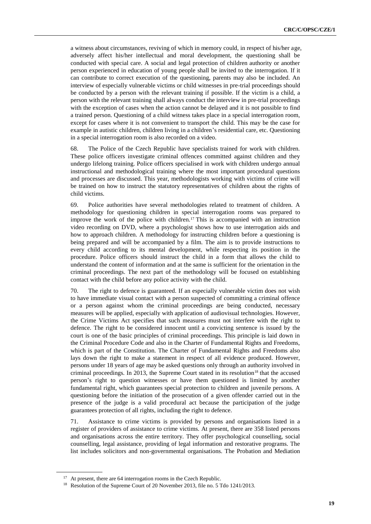a witness about circumstances, reviving of which in memory could, in respect of his/her age, adversely affect his/her intellectual and moral development, the questioning shall be conducted with special care. A social and legal protection of children authority or another person experienced in education of young people shall be invited to the interrogation. If it can contribute to correct execution of the questioning, parents may also be included. An interview of especially vulnerable victims or child witnesses in pre-trial proceedings should be conducted by a person with the relevant training if possible. If the victim is a child, a person with the relevant training shall always conduct the interview in pre-trial proceedings with the exception of cases when the action cannot be delayed and it is not possible to find a trained person. Questioning of a child witness takes place in a special interrogation room, except for cases where it is not convenient to transport the child. This may be the case for example in autistic children, children living in a children's residential care, etc. Questioning in a special interrogation room is also recorded on a video.

68. The Police of the Czech Republic have specialists trained for work with children. These police officers investigate criminal offences committed against children and they undergo lifelong training. Police officers specialised in work with children undergo annual instructional and methodological training where the most important procedural questions and processes are discussed. This year, methodologists working with victims of crime will be trained on how to instruct the statutory representatives of children about the rights of child victims.

69. Police authorities have several methodologies related to treatment of children. A methodology for questioning children in special interrogation rooms was prepared to improve the work of the police with children.<sup>17</sup> This is accompanied with an instruction video recording on DVD, where a psychologist shows how to use interrogation aids and how to approach children. A methodology for instructing children before a questioning is being prepared and will be accompanied by a film. The aim is to provide instructions to every child according to its mental development, while respecting its position in the procedure. Police officers should instruct the child in a form that allows the child to understand the content of information and at the same is sufficient for the orientation in the criminal proceedings. The next part of the methodology will be focused on establishing contact with the child before any police activity with the child.

70. The right to defence is guaranteed. If an especially vulnerable victim does not wish to have immediate visual contact with a person suspected of committing a criminal offence or a person against whom the criminal proceedings are being conducted, necessary measures will be applied, especially with application of audiovisual technologies. However, the Crime Victims Act specifies that such measures must not interfere with the right to defence. The right to be considered innocent until a convicting sentence is issued by the court is one of the basic principles of criminal proceedings. This principle is laid down in the Criminal Procedure Code and also in the Charter of Fundamental Rights and Freedoms, which is part of the Constitution. The Charter of Fundamental Rights and Freedoms also lays down the right to make a statement in respect of all evidence produced. However, persons under 18 years of age may be asked questions only through an authority involved in criminal proceedings. In 2013, the Supreme Court stated in its resolution<sup>18</sup> that the accused person's right to question witnesses or have them questioned is limited by another fundamental right, which guarantees special protection to children and juvenile persons. A questioning before the initiation of the prosecution of a given offender carried out in the presence of the judge is a valid procedural act because the participation of the judge guarantees protection of all rights, including the right to defence.

71. Assistance to crime victims is provided by persons and organisations listed in a register of providers of assistance to crime victims. At present, there are 358 listed persons and organisations across the entire territory. They offer psychological counselling, social counselling, legal assistance, providing of legal information and restorative programs. The list includes solicitors and non-governmental organisations. The Probation and Mediation

<sup>&</sup>lt;sup>17</sup> At present, there are 64 interrogation rooms in the Czech Republic.

<sup>&</sup>lt;sup>18</sup> Resolution of the Supreme Court of 20 November 2013, file no. 5 Tdo 1241/2013.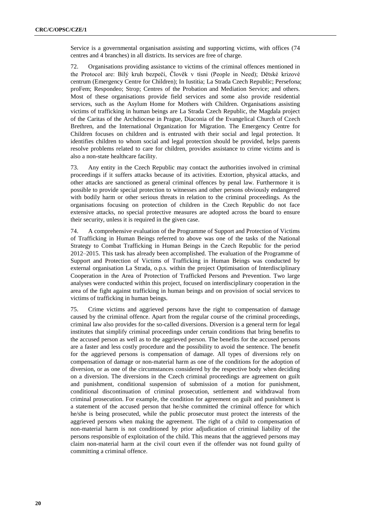Service is a governmental organisation assisting and supporting victims, with offices (74 centres and 4 branches) in all districts. Its services are free of charge.

72. Organisations providing assistance to victims of the criminal offences mentioned in the Protocol are: Bílý kruh bezpečí, Člověk v tísni (People in Need); Dětské krizové centrum (Emergency Centre for Children); In Iustitia; La Strada Czech Republic; Persefona; proFem; Respondeo; Strop; Centres of the Probation and Mediation Service; and others. Most of these organisations provide field services and some also provide residential services, such as the Asylum Home for Mothers with Children. Organisations assisting victims of trafficking in human beings are La Strada Czech Republic, the Magdala project of the Caritas of the Archdiocese in Prague, Diaconia of the Evangelical Church of Czech Brethren, and the International Organization for Migration. The Emergency Centre for Children focuses on children and is entrusted with their social and legal protection. It identifies children to whom social and legal protection should be provided, helps parents resolve problems related to care for children, provides assistance to crime victims and is also a non-state healthcare facility.

73. Any entity in the Czech Republic may contact the authorities involved in criminal proceedings if it suffers attacks because of its activities. Extortion, physical attacks, and other attacks are sanctioned as general criminal offences by penal law. Furthermore it is possible to provide special protection to witnesses and other persons obviously endangered with bodily harm or other serious threats in relation to the criminal proceedings. As the organisations focusing on protection of children in the Czech Republic do not face extensive attacks, no special protective measures are adopted across the board to ensure their security, unless it is required in the given case.

74. A comprehensive evaluation of the Programme of Support and Protection of Victims of Trafficking in Human Beings referred to above was one of the tasks of the National Strategy to Combat Trafficking in Human Beings in the Czech Republic for the period 2012–2015. This task has already been accomplished. The evaluation of the Programme of Support and Protection of Victims of Trafficking in Human Beings was conducted by external organisation La Strada, o.p.s. within the project Optimisation of Interdisciplinary Cooperation in the Area of Protection of Trafficked Persons and Prevention. Two large analyses were conducted within this project, focused on interdisciplinary cooperation in the area of the fight against trafficking in human beings and on provision of social services to victims of trafficking in human beings.

75. Crime victims and aggrieved persons have the right to compensation of damage caused by the criminal offence. Apart from the regular course of the criminal proceedings, criminal law also provides for the so-called diversions. Diversion is a general term for legal institutes that simplify criminal proceedings under certain conditions that bring benefits to the accused person as well as to the aggrieved person. The benefits for the accused persons are a faster and less costly procedure and the possibility to avoid the sentence. The benefit for the aggrieved persons is compensation of damage. All types of diversions rely on compensation of damage or non-material harm as one of the conditions for the adoption of diversion, or as one of the circumstances considered by the respective body when deciding on a diversion. The diversions in the Czech criminal proceedings are agreement on guilt and punishment, conditional suspension of submission of a motion for punishment, conditional discontinuation of criminal prosecution, settlement and withdrawal from criminal prosecution. For example, the condition for agreement on guilt and punishment is a statement of the accused person that he/she committed the criminal offence for which he/she is being prosecuted, while the public prosecutor must protect the interests of the aggrieved persons when making the agreement. The right of a child to compensation of non-material harm is not conditioned by prior adjudication of criminal liability of the persons responsible of exploitation of the child. This means that the aggrieved persons may claim non-material harm at the civil court even if the offender was not found guilty of committing a criminal offence.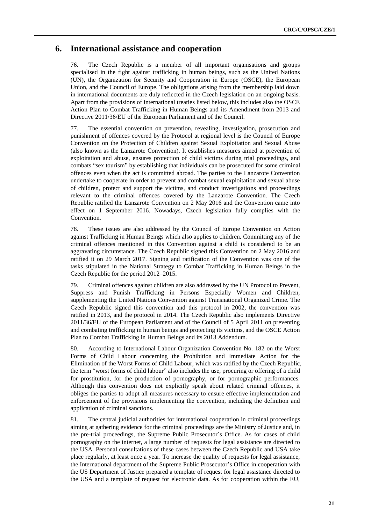## **6. International assistance and cooperation**

76. The Czech Republic is a member of all important organisations and groups specialised in the fight against trafficking in human beings, such as the United Nations (UN), the Organization for Security and Cooperation in Europe (OSCE), the European Union, and the Council of Europe. The obligations arising from the membership laid down in international documents are duly reflected in the Czech legislation on an ongoing basis. Apart from the provisions of international treaties listed below, this includes also the OSCE Action Plan to Combat Trafficking in Human Beings and its Amendment from 2013 and Directive 2011/36/EU of the European Parliament and of the Council.

77. The essential convention on prevention, revealing, investigation, prosecution and punishment of offences covered by the Protocol at regional level is the Council of Europe Convention on the Protection of Children against Sexual Exploitation and Sexual Abuse (also known as the Lanzarote Convention). It establishes measures aimed at prevention of exploitation and abuse, ensures protection of child victims during trial proceedings, and combats "sex tourism" by establishing that individuals can be prosecuted for some criminal offences even when the act is committed abroad. The parties to the Lanzarote Convention undertake to cooperate in order to prevent and combat sexual exploitation and sexual abuse of children, protect and support the victims, and conduct investigations and proceedings relevant to the criminal offences covered by the Lanzarote Convention. The Czech Republic ratified the Lanzarote Convention on 2 May 2016 and the Convention came into effect on 1 September 2016. Nowadays, Czech legislation fully complies with the Convention.

78. These issues are also addressed by the Council of Europe Convention on Action against Trafficking in Human Beings which also applies to children. Committing any of the criminal offences mentioned in this Convention against a child is considered to be an aggravating circumstance. The Czech Republic signed this Convention on 2 May 2016 and ratified it on 29 March 2017. Signing and ratification of the Convention was one of the tasks stipulated in the National Strategy to Combat Trafficking in Human Beings in the Czech Republic for the period 2012–2015.

79. Criminal offences against children are also addressed by the UN Protocol to Prevent, Suppress and Punish Trafficking in Persons Especially Women and Children, supplementing the United Nations Convention against Transnational Organized Crime. The Czech Republic signed this convention and this protocol in 2002, the convention was ratified in 2013, and the protocol in 2014. The Czech Republic also implements Directive 2011/36/EU of the European Parliament and of the Council of 5 April 2011 on preventing and combating trafficking in human beings and protecting its victims, and the OSCE Action Plan to Combat Trafficking in Human Beings and its 2013 Addendum.

80. According to International Labour Organization Convention No. 182 on the Worst Forms of Child Labour concerning the Prohibition and Immediate Action for the Elimination of the Worst Forms of Child Labour, which was ratified by the Czech Republic, the term "worst forms of child labour" also includes the use, procuring or offering of a child for prostitution, for the production of pornography, or for pornographic performances. Although this convention does not explicitly speak about related criminal offences, it obliges the parties to adopt all measures necessary to ensure effective implementation and enforcement of the provisions implementing the convention, including the definition and application of criminal sanctions.

81. The central judicial authorities for international cooperation in criminal proceedings aiming at gathering evidence for the criminal proceedings are the Ministry of Justice and, in the pre-trial proceedings, the Supreme Public Prosecutor´s Office. As for cases of child pornography on the internet, a large number of requests for legal assistance are directed to the USA. Personal consultations of these cases between the Czech Republic and USA take place regularly, at least once a year. To increase the quality of requests for legal assistance, the International department of the Supreme Public Prosecutor's Office in cooperation with the US Department of Justice prepared a template of request for legal assistance directed to the USA and a template of request for electronic data. As for cooperation within the EU,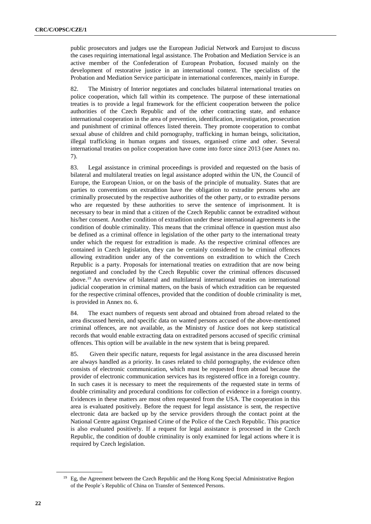public prosecutors and judges use the European Judicial Network and Eurojust to discuss the cases requiring international legal assistance. The Probation and Mediation Service is an active member of the Confederation of European Probation, focused mainly on the development of restorative justice in an international context. The specialists of the Probation and Mediation Service participate in international conferences, mainly in Europe.

82. The Ministry of Interior negotiates and concludes bilateral international treaties on police cooperation, which fall within its competence. The purpose of these international treaties is to provide a legal framework for the efficient cooperation between the police authorities of the Czech Republic and of the other contracting state, and enhance international cooperation in the area of prevention, identification, investigation, prosecution and punishment of criminal offences listed therein. They promote cooperation to combat sexual abuse of children and child pornography, trafficking in human beings, solicitation, illegal trafficking in human organs and tissues, organised crime and other. Several international treaties on police cooperation have come into force since 2013 (see Annex no. 7).

83. Legal assistance in criminal proceedings is provided and requested on the basis of bilateral and multilateral treaties on legal assistance adopted within the UN, the Council of Europe, the European Union, or on the basis of the principle of mutuality. States that are parties to conventions on extradition have the obligation to extradite persons who are criminally prosecuted by the respective authorities of the other party, or to extradite persons who are requested by these authorities to serve the sentence of imprisonment. It is necessary to bear in mind that a citizen of the Czech Republic cannot be extradited without his/her consent. Another condition of extradition under these international agreements is the condition of double criminality. This means that the criminal offence in question must also be defined as a criminal offence in legislation of the other party to the international treaty under which the request for extradition is made. As the respective criminal offences are contained in Czech legislation, they can be certainly considered to be criminal offences allowing extradition under any of the conventions on extradition to which the Czech Republic is a party. Proposals for international treaties on extradition that are now being negotiated and concluded by the Czech Republic cover the criminal offences discussed above.<sup>19</sup> An overview of bilateral and multilateral international treaties on international judicial cooperation in criminal matters, on the basis of which extradition can be requested for the respective criminal offences, provided that the condition of double criminality is met, is provided in Annex no. 6.

84. The exact numbers of requests sent abroad and obtained from abroad related to the area discussed herein, and specific data on wanted persons accused of the above-mentioned criminal offences, are not available, as the Ministry of Justice does not keep statistical records that would enable extracting data on extradited persons accused of specific criminal offences. This option will be available in the new system that is being prepared.

85. Given their specific nature, requests for legal assistance in the area discussed herein are always handled as a priority. In cases related to child pornography, the evidence often consists of electronic communication, which must be requested from abroad because the provider of electronic communication services has its registered office in a foreign country. In such cases it is necessary to meet the requirements of the requested state in terms of double criminality and procedural conditions for collection of evidence in a foreign country. Evidences in these matters are most often requested from the USA. The cooperation in this area is evaluated positively. Before the request for legal assistance is sent, the respective electronic data are backed up by the service providers through the contact point at the National Centre against Organised Crime of the Police of the Czech Republic. This practice is also evaluated positively. If a request for legal assistance is processed in the Czech Republic, the condition of double criminality is only examined for legal actions where it is required by Czech legislation.

<sup>&</sup>lt;sup>19</sup> Eg, the Agreement between the Czech Republic and the Hong Kong Special Administrative Region of the People´s Republic of China on Transfer of Sentenced Persons.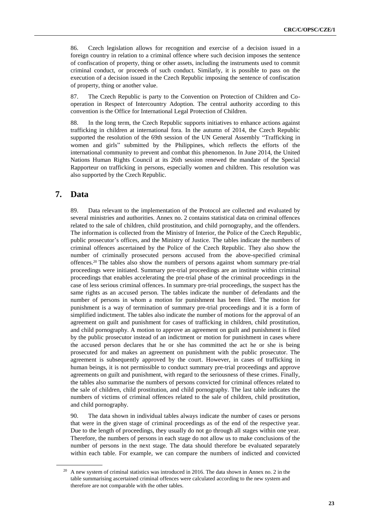86. Czech legislation allows for recognition and exercise of a decision issued in a foreign country in relation to a criminal offence where such decision imposes the sentence of confiscation of property, thing or other assets, including the instruments used to commit criminal conduct, or proceeds of such conduct. Similarly, it is possible to pass on the execution of a decision issued in the Czech Republic imposing the sentence of confiscation of property, thing or another value.

87. The Czech Republic is party to the Convention on Protection of Children and Cooperation in Respect of Intercountry Adoption. The central authority according to this convention is the Office for International Legal Protection of Children.

88. In the long term, the Czech Republic supports initiatives to enhance actions against trafficking in children at international fora. In the autumn of 2014, the Czech Republic supported the resolution of the 69th session of the UN General Assembly "Trafficking in women and girls" submitted by the Philippines, which reflects the efforts of the international community to prevent and combat this phenomenon. In June 2014, the United Nations Human Rights Council at its 26th session renewed the mandate of the Special Rapporteur on trafficking in persons, especially women and children. This resolution was also supported by the Czech Republic.

## **7. Data**

89. Data relevant to the implementation of the Protocol are collected and evaluated by several ministries and authorities. Annex no. 2 contains statistical data on criminal offences related to the sale of children, child prostitution, and child pornography, and the offenders. The information is collected from the Ministry of Interior, the Police of the Czech Republic, public prosecutor's offices, and the Ministry of Justice. The tables indicate the numbers of criminal offences ascertained by the Police of the Czech Republic. They also show the number of criminally prosecuted persons accused from the above-specified criminal offences.<sup>20</sup> The tables also show the numbers of persons against whom summary pre-trial proceedings were initiated. Summary pre-trial proceedings are an institute within criminal proceedings that enables accelerating the pre-trial phase of the criminal proceedings in the case of less serious criminal offences. In summary pre-trial proceedings, the suspect has the same rights as an accused person. The tables indicate the number of defendants and the number of persons in whom a motion for punishment has been filed. The motion for punishment is a way of termination of summary pre-trial proceedings and it is a form of simplified indictment. The tables also indicate the number of motions for the approval of an agreement on guilt and punishment for cases of trafficking in children, child prostitution, and child pornography. A motion to approve an agreement on guilt and punishment is filed by the public prosecutor instead of an indictment or motion for punishment in cases where the accused person declares that he or she has committed the act he or she is being prosecuted for and makes an agreement on punishment with the public prosecutor. The agreement is subsequently approved by the court. However, in cases of trafficking in human beings, it is not permissible to conduct summary pre-trial proceedings and approve agreements on guilt and punishment, with regard to the seriousness of these crimes. Finally, the tables also summarise the numbers of persons convicted for criminal offences related to the sale of children, child prostitution, and child pornography. The last table indicates the numbers of victims of criminal offences related to the sale of children, child prostitution, and child pornography.

90. The data shown in individual tables always indicate the number of cases or persons that were in the given stage of criminal proceedings as of the end of the respective year. Due to the length of proceedings, they usually do not go through all stages within one year. Therefore, the numbers of persons in each stage do not allow us to make conclusions of the number of persons in the next stage. The data should therefore be evaluated separately within each table. For example, we can compare the numbers of indicted and convicted

 $20$  A new system of criminal statistics was introduced in 2016. The data shown in Annex no. 2 in the table summarising ascertained criminal offences were calculated according to the new system and therefore are not comparable with the other tables.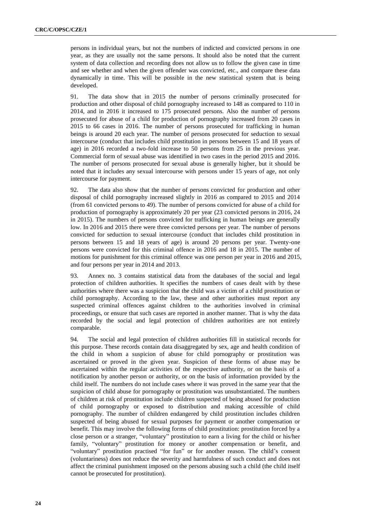persons in individual years, but not the numbers of indicted and convicted persons in one year, as they are usually not the same persons. It should also be noted that the current system of data collection and recording does not allow us to follow the given case in time and see whether and when the given offender was convicted, etc., and compare these data dynamically in time. This will be possible in the new statistical system that is being developed.

91. The data show that in 2015 the number of persons criminally prosecuted for production and other disposal of child pornography increased to 148 as compared to 110 in 2014, and in 2016 it increased to 175 prosecuted persons. Also the number of persons prosecuted for abuse of a child for production of pornography increased from 20 cases in 2015 to 66 cases in 2016. The number of persons prosecuted for trafficking in human beings is around 20 each year. The number of persons prosecuted for seduction to sexual intercourse (conduct that includes child prostitution in persons between 15 and 18 years of age) in 2016 recorded a two-fold increase to 50 persons from 25 in the previous year. Commercial form of sexual abuse was identified in two cases in the period 2015 and 2016. The number of persons prosecuted for sexual abuse is generally higher, but it should be noted that it includes any sexual intercourse with persons under 15 years of age, not only intercourse for payment.

92. The data also show that the number of persons convicted for production and other disposal of child pornography increased slightly in 2016 as compared to 2015 and 2014 (from 61 convicted persons to 49). The number of persons convicted for abuse of a child for production of pornography is approximately 20 per year (23 convicted persons in 2016, 24 in 2015). The numbers of persons convicted for trafficking in human beings are generally low. In 2016 and 2015 there were three convicted persons per year. The number of persons convicted for seduction to sexual intercourse (conduct that includes child prostitution in persons between 15 and 18 years of age) is around 20 persons per year. Twenty-one persons were convicted for this criminal offence in 2016 and 18 in 2015. The number of motions for punishment for this criminal offence was one person per year in 2016 and 2015, and four persons per year in 2014 and 2013.

93. Annex no. 3 contains statistical data from the databases of the social and legal protection of children authorities. It specifies the numbers of cases dealt with by these authorities where there was a suspicion that the child was a victim of a child prostitution or child pornography. According to the law, these and other authorities must report any suspected criminal offences against children to the authorities involved in criminal proceedings, or ensure that such cases are reported in another manner. That is why the data recorded by the social and legal protection of children authorities are not entirely comparable.

94. The social and legal protection of children authorities fill in statistical records for this purpose. These records contain data disaggregated by sex, age and health condition of the child in whom a suspicion of abuse for child pornography or prostitution was ascertained or proved in the given year. Suspicion of these forms of abuse may be ascertained within the regular activities of the respective authority, or on the basis of a notification by another person or authority, or on the basis of information provided by the child itself. The numbers do not include cases where it was proved in the same year that the suspicion of child abuse for pornography or prostitution was unsubstantiated. The numbers of children at risk of prostitution include children suspected of being abused for production of child pornography or exposed to distribution and making accessible of child pornography. The number of children endangered by child prostitution includes children suspected of being abused for sexual purposes for payment or another compensation or benefit. This may involve the following forms of child prostitution: prostitution forced by a close person or a stranger, "voluntary" prostitution to earn a living for the child or his/her family, "voluntary" prostitution for money or another compensation or benefit, and "voluntary" prostitution practised "for fun" or for another reason. The child's consent (voluntariness) does not reduce the severity and harmfulness of such conduct and does not affect the criminal punishment imposed on the persons abusing such a child (the child itself cannot be prosecuted for prostitution).